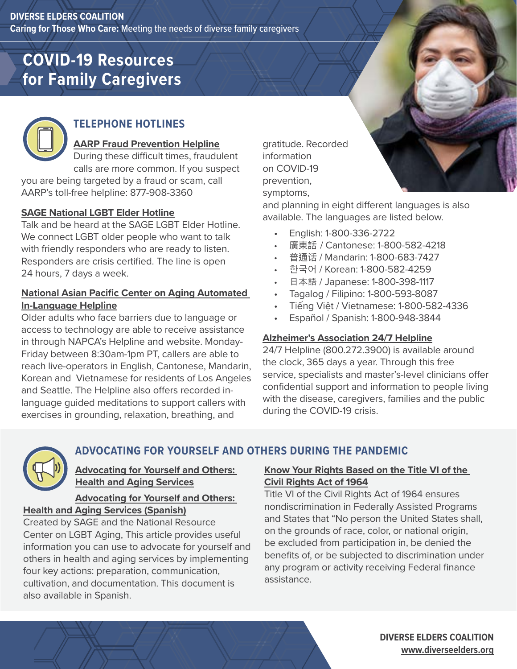## **DIVERSE ELDERS COALITION**

**Caring for Those Who Care:** Meeting the needs of diverse family caregivers

# **COVID-19 Resources for Family Caregivers**



# **TELEPHONE HOTLINES**

#### **[AARP Fraud Prevention Helpline](https://www.aarp.org/money/scams-fraud/info-2019/call-fwn-helpline.html)**

During these difficult times, fraudulent calls are more common. If you suspect you are being targeted by a fraud or scam, call AARP's toll-free helpline: 877-908-3360

#### **[SAGE National LGBT Elder Hotline](https://www.sageusa.org/what-we-do/sage-national-lgbt-elder-hotline/)**

Talk and be heard at the SAGE LGBT Elder Hotline. We connect LGBT older people who want to talk with friendly responders who are ready to listen. Responders are crisis certified. The line is open 24 hours, 7 days a week.

#### **[National Asian Pacific Center on Aging Automated](https://www.napca.org/)  [In-Language Helpline](https://www.napca.org/)**

Older adults who face barriers due to language or access to technology are able to receive assistance in through NAPCA's Helpline and website. Monday-Friday between 8:30am-1pm PT, callers are able to reach live-operators in English, Cantonese, Mandarin, Korean and Vietnamese for residents of Los Angeles and Seattle. The Helpline also offers recorded inlanguage guided meditations to support callers with exercises in grounding, relaxation, breathing, and

gratitude. Recorded information on COVID-19 prevention, symptoms,

and planning in eight different languages is also available. The languages are listed below.

- English: 1-800-336-2722
- 廣東話 / Cantonese: 1-800-582-4218
- 普通话 / Mandarin: 1-800-683-7427
- 한국어 / Korean: 1-800-582-4259
- 日本語 / Japanese: 1-800-398-1117
- Tagalog / Filipino: 1-800-593-8087
- Tiếng Việt / Vietnamese: 1-800-582-4336
- Español / Spanish: 1-800-948-3844

#### **[Alzheimer's Association 24/7 Helpline](https://www.alz.org/media/Documents/alzheimers-dementia-247-helpline-ts.pdf)**

24/7 Helpline (800.272.3900) is available around the clock, 365 days a year. Through this free service, specialists and master's-level clinicians offer confidential support and information to people living with the disease, caregivers, families and the public during the COVID-19 crisis.



# **ADVOCATING FOR YOURSELF AND OTHERS DURING THE PANDEMIC**

#### **[Advocating for Yourself and Others:](https://www.lgbtagingcenter.org/resources/pdfs/How%20to%20Advocate%20for%20Yourself%20and%20Others%20in%20Healthcare%20Settings%20Final.docx.pdf)  [Health and Aging Services](https://www.lgbtagingcenter.org/resources/pdfs/How%20to%20Advocate%20for%20Yourself%20and%20Others%20in%20Healthcare%20Settings%20Final.docx.pdf)**

#### **[Advocating for Yourself and Others:](https://www.lgbtagingcenter.org/resources/pdfs/How%20to%20Advocate%20for%20Yourself%20and%20Others%20in%20Healthcare%20Settings%20Final_SP_v1.docx.pdf)  [Health and Aging Services \(Spanish\)](https://www.lgbtagingcenter.org/resources/pdfs/How%20to%20Advocate%20for%20Yourself%20and%20Others%20in%20Healthcare%20Settings%20Final_SP_v1.docx.pdf)**

Created by SAGE and the National Resource Center on LGBT Aging, This article provides useful information you can use to advocate for yourself and others in health and aging services by implementing four key actions: preparation, communication, cultivation, and documentation. This document is also available in Spanish.

#### **[Know Your Rights Based on the Title VI of the](https://www.hhs.gov/civil-rights/for-individuals/special-topics/limited-english-proficiency/guidance-federal-financial-assistance-recipients-title-vi/index.html)  [Civil Rights Act of 1964](https://www.hhs.gov/civil-rights/for-individuals/special-topics/limited-english-proficiency/guidance-federal-financial-assistance-recipients-title-vi/index.html)**

Title VI of the Civil Rights Act of 1964 ensures nondiscrimination in Federally Assisted Programs and States that "No person the United States shall, on the grounds of race, color, or national origin, be excluded from participation in, be denied the benefits of, or be subjected to discrimination under any program or activity receiving Federal finance assistance.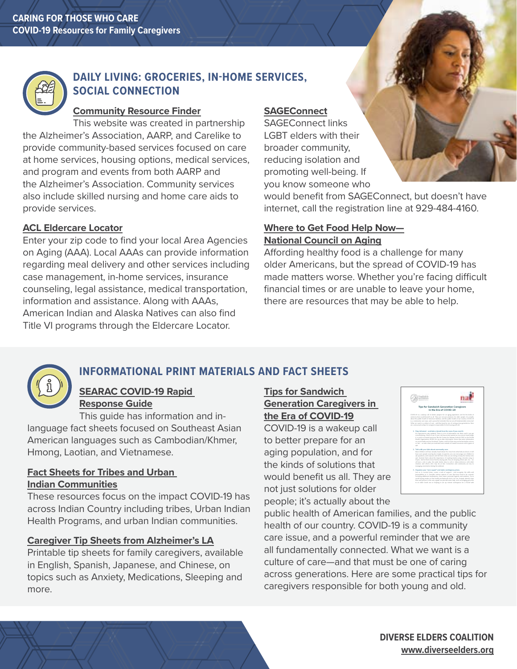

# **DAILY LIVING: GROCERIES, IN-HOME SERVICES, SOCIAL CONNECTION**

#### **[Community Resource Finder](https://www.communityresourcefinder.org/)**

This website was created in partnership the Alzheimer's Association, AARP, and Carelike to provide community-based services focused on care at home services, housing options, medical services, and program and events from both AARP and the Alzheimer's Association. Community services also include skilled nursing and home care aids to provide services.

#### **[ACL Eldercare Locator](https://eldercare.acl.gov/Public/Index.aspx)**

Enter your zip code to find your local Area Agencies on Aging (AAA). Local AAAs can provide information regarding meal delivery and other services including case management, in-home services, insurance counseling, legal assistance, medical transportation, information and assistance. Along with AAAs, American Indian and Alaska Natives can also find Title VI programs through the Eldercare Locator.

#### **[SAGEConnect](https://www.sageusa.org/sageconnect/)**

SAGEConnect links LGBT elders with their broader community, reducing isolation and promoting well-being. If you know someone who

would benefit from SAGEConnect, but doesn't have internet, call the registration line at 929-484-4160.

## **[Where to Get Food Help Now—](https://www.ncoa.org/blog/where-to-get-food-help-now/) [National Council on Aging](https://www.ncoa.org/blog/where-to-get-food-help-now/)**

Affording healthy food is a challenge for many older Americans, but the spread of COVID-19 has made matters worse. Whether you're facing difficult financial times or are unable to leave your home, there are resources that may be able to help.



# **INFORMATIONAL PRINT MATERIALS AND FACT SHEETS**

## **[SEARAC COVID-19 Rapid](https://www.searac.org/covid-19-resources/)  [Response Guide](https://www.searac.org/covid-19-resources/)**

This guide has information and inlanguage fact sheets focused on Southeast Asian American languages such as Cambodian/Khmer, Hmong, Laotian, and Vietnamese.

## **[Fact Sheets for Tribes and Urban](https://www.uihi.org/projects/covid/?utm_campaign=fyi_newsletter&utm_medium=email&utm_source=govdelivery)  [Indian Communities](https://www.uihi.org/projects/covid/?utm_campaign=fyi_newsletter&utm_medium=email&utm_source=govdelivery)**

These resources focus on the impact COVID-19 has across Indian Country including tribes, Urban Indian Health Programs, and urban Indian communities.

#### **[Caregiver Tip Sheets from Alzheimer's LA](https://www.alzheimersla.org/caregiver-tip-sheets/?utm_source=programs-services&utm_medium=email)**

Printable tip sheets for family caregivers, available in English, Spanish, Japanese, and Chinese, on topics such as Anxiety, Medications, Sleeping and more.

#### **[Tips for Sandwich](https://files.constantcontact.com/8b968750201/f3b38866-ec89-4c4c-84c2-f2624452efee.pdf)  [Generation Caregivers in](https://files.constantcontact.com/8b968750201/f3b38866-ec89-4c4c-84c2-f2624452efee.pdf)  [the Era of COVID-19](https://files.constantcontact.com/8b968750201/f3b38866-ec89-4c4c-84c2-f2624452efee.pdf)**

COVID-19 is a wakeup call to better prepare for an aging population, and for the kinds of solutions that would benefit us all. They are not just solutions for older people; it's actually about the



public health of American families, and the public health of our country. COVID-19 is a community care issue, and a powerful reminder that we are all fundamentally connected. What we want is a culture of care—and that must be one of caring across generations. Here are some practical tips for caregivers responsible for both young and old.